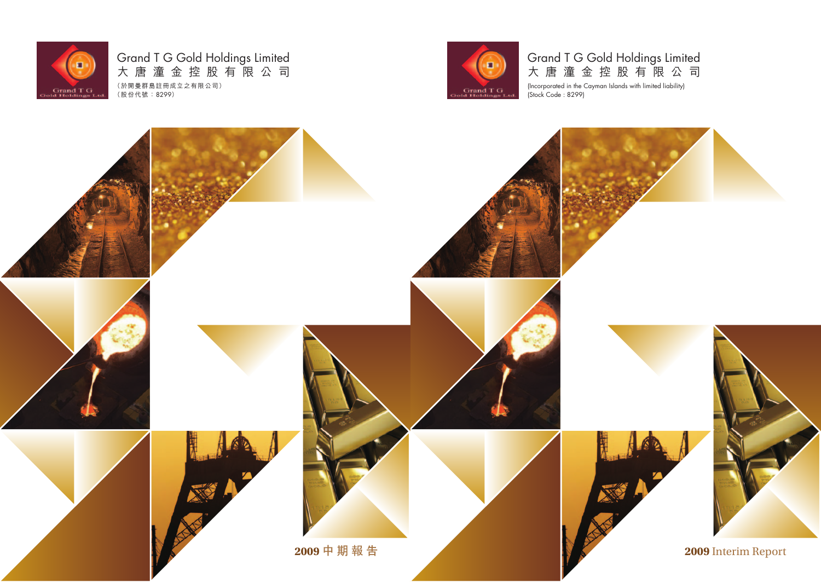

# Grand T G Gold Holdings Limited 大 唐 潼 金 控 股 有 限 公 司

(Incorporated in the Cayman Islands with limited liability) (Stock Code : 8299)

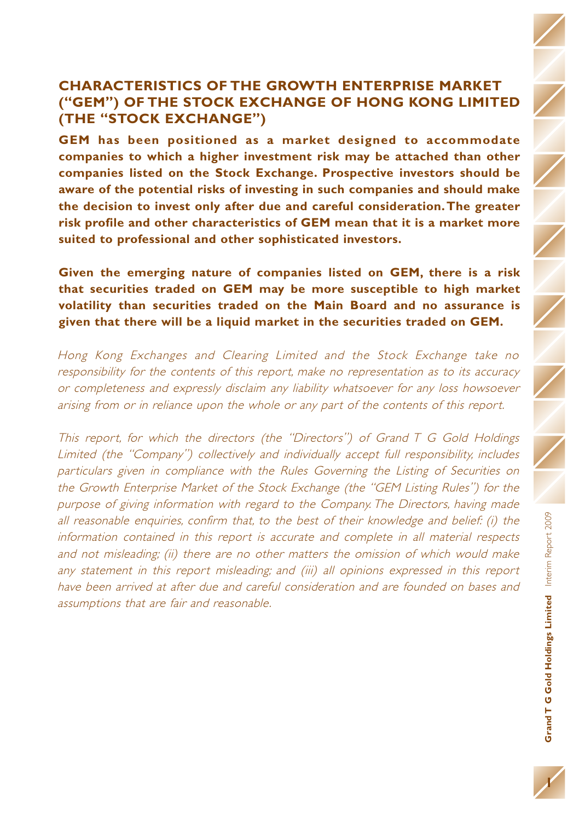## **CHARACTERISTICS OF THE GROWTH ENTERPRISE MARKET ("GEM") OF THE STOCK EXCHANGE OF HONG KONG LIMITED (THE "STOCK EXCHANGE")**

**GEM has been positioned as a market designed to accommodate companies to which a higher investment risk may be attached than other companies listed on the Stock Exchange. Prospective investors should be aware of the potential risks of investing in such companies and should make the decision to invest only after due and careful consideration.The greater risk profile and other characteristics of GEM mean that it is a market more suited to professional and other sophisticated investors.**

**Given the emerging nature of companies listed on GEM, there is a risk that securities traded on GEM may be more susceptible to high market volatility than securities traded on the Main Board and no assurance is given that there will be a liquid market in the securities traded on GEM.**

Hong Kong Exchanges and Clearing Limited and the Stock Exchange take no responsibility for the contents of this report, make no representation as to its accuracy or completeness and expressly disclaim any liability whatsoever for any loss howsoever arising from or in reliance upon the whole or any part of the contents of this report.

This report, for which the directors (the "Directors") of Grand T G Gold Holdings Limited (the "Company") collectively and individually accept full responsibility, includes particulars given in compliance with the Rules Governing the Listing of Securities on the Growth Enterprise Market of the Stock Exchange (the "GEM Listing Rules") for the purpose of giving information with regard to the Company. The Directors, having made all reasonable enquiries, confirm that, to the best of their knowledge and belief: (i) the information contained in this report is accurate and complete in all material respects and not misleading; (ii) there are no other matters the omission of which would make any statement in this report misleading; and (iii) all opinions expressed in this report have been arrived at after due and careful consideration and are founded on bases and assumptions that are fair and reasonable.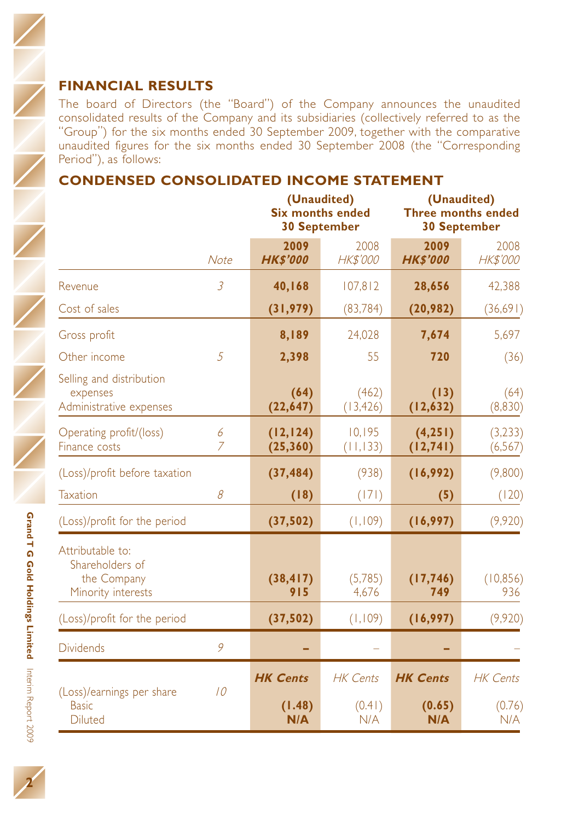The board of Directors (the "Board") of the Company announces the unaudited consolidated results of the Company and its subsidiaries (collectively referred to as the "Group") for the six months ended 30 September 2009, together with the comparative unaudited figures for the six months ended 30 September 2008 (the "Corresponding Period"), as follows:

## **CONDENSED CONSOLIDATED INCOME STATEMENT**

|                                                                          |                     | (Unaudited)<br><b>Six months ended</b><br><b>30 September</b> |                                  | (Unaudited)<br><b>Three months ended</b><br><b>30 September</b> |                                  |  |
|--------------------------------------------------------------------------|---------------------|---------------------------------------------------------------|----------------------------------|-----------------------------------------------------------------|----------------------------------|--|
|                                                                          | Note                | 2009<br><b>HK\$'000</b>                                       | 2008<br>HK\$'000                 | 2009<br><b>HK\$'000</b>                                         | 2008<br><b>HK\$'000</b>          |  |
| Revenue                                                                  | $\overline{3}$      | 40,168                                                        | 107,812                          | 28,656                                                          | 42,388                           |  |
| Cost of sales                                                            |                     | (31, 979)                                                     | (83, 784)                        | (20, 982)                                                       | (36,691)                         |  |
| Gross profit                                                             |                     | 8,189                                                         | 24,028                           | 7,674                                                           | 5,697                            |  |
| Other income                                                             | 5                   | 2,398                                                         | 55                               | 720                                                             | (36)                             |  |
| Selling and distribution<br>expenses<br>Administrative expenses          |                     | (64)<br>(22, 647)                                             | (462)<br>(13, 426)               | (13)<br>(12, 632)                                               | (64)<br>(8,830)                  |  |
| Operating profit/(loss)<br>Finance costs                                 | 6<br>$\overline{7}$ | (12, 124)<br>(25, 360)                                        | 10,195<br>(11, 133)              | (4, 251)<br>(12, 741)                                           | (3,233)<br>(6, 567)              |  |
| (Loss)/profit before taxation                                            |                     | (37, 484)                                                     | (938)                            | (16,992)                                                        | (9,800)                          |  |
| Taxation                                                                 | 8                   | (18)                                                          | (171)                            | (5)                                                             | (120)                            |  |
| (Loss)/profit for the period                                             |                     | (37, 502)                                                     | (1, 109)                         | (16, 997)                                                       | (9,920)                          |  |
| Attributable to:<br>Shareholders of<br>the Company<br>Minority interests |                     | (38, 417)<br>915                                              | (5,785)<br>4,676                 | (17, 746)<br>749                                                | (10, 856)<br>936                 |  |
| (Loss)/profit for the period                                             |                     | (37, 502)                                                     | (1,109)                          | (16, 997)                                                       | (9,920)                          |  |
| <b>Dividends</b>                                                         | 9                   |                                                               |                                  |                                                                 |                                  |  |
| (Loss)/earnings per share<br><b>Basic</b><br><b>Diluted</b>              | 10                  | <b>HK Cents</b><br>(1.48)<br>N/A                              | <b>HK</b> Cents<br>(0.41)<br>N/A | <b>HK Cents</b><br>(0.65)<br>N/A                                | <b>HK</b> Cents<br>(0.76)<br>N/A |  |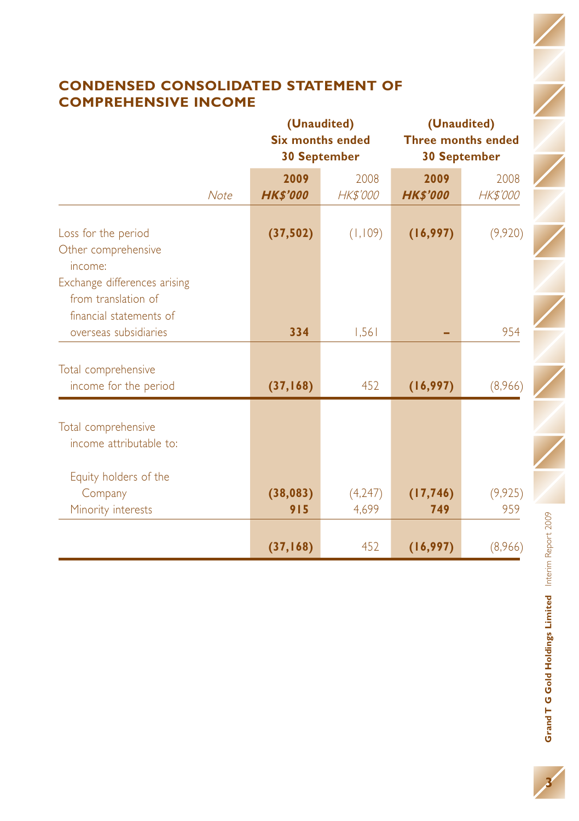## **CONDENSED CONSOLIDATED STATEMENT OF COMPREHENSIVE INCOME**

|                                                                                |             |                  | (Unaudited)<br><b>Six months ended</b><br><b>30 September</b> | (Unaudited)<br><b>Three months ended</b><br><b>30 September</b> |                 |  |
|--------------------------------------------------------------------------------|-------------|------------------|---------------------------------------------------------------|-----------------------------------------------------------------|-----------------|--|
|                                                                                |             | 2009             | 2008                                                          | 2009                                                            | 2008            |  |
|                                                                                | <b>Note</b> | <b>HK\$'000</b>  | HK\$'000                                                      | <b>HK\$'000</b>                                                 | <b>HK\$'000</b> |  |
| Loss for the period<br>Other comprehensive<br>income:                          |             | (37, 502)        | (1,109)                                                       | (16, 997)                                                       | (9,920)         |  |
| Exchange differences arising<br>from translation of<br>financial statements of |             |                  |                                                               |                                                                 |                 |  |
| overseas subsidiaries                                                          |             | 334              | 1,561                                                         |                                                                 | 954             |  |
| Total comprehensive<br>income for the period                                   |             | (37, 168)        | 452                                                           | (16, 997)                                                       | (8,966)         |  |
| Total comprehensive<br>income attributable to:                                 |             |                  |                                                               |                                                                 |                 |  |
| Equity holders of the<br>Company<br>Minority interests                         |             | (38, 083)<br>915 | (4,247)<br>4,699                                              | (17, 746)<br>749                                                | (9, 925)<br>959 |  |
|                                                                                |             | (37, 168)        | 452                                                           | (16, 997)                                                       | (8,966)         |  |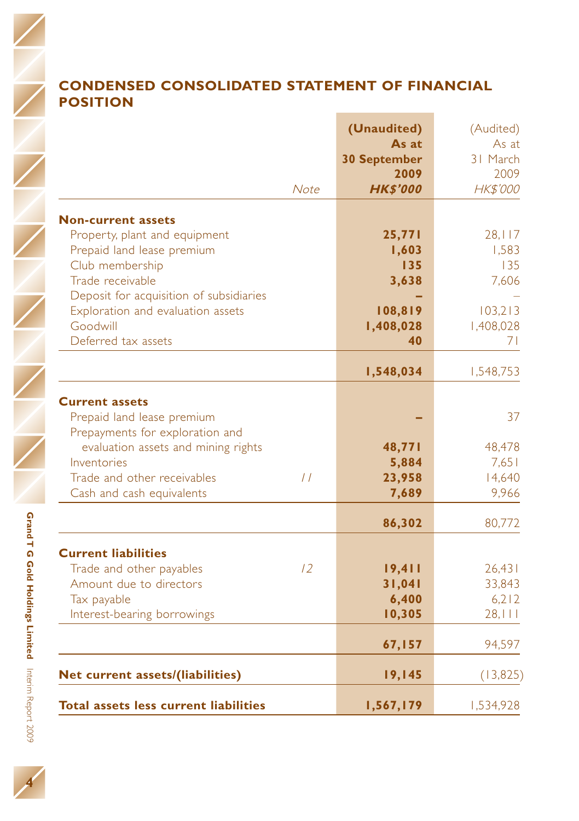## **CONDENSED CONSOLIDATED STATEMENT OF FINANCIAL POSITION**

|                                                                                                                                                                                                          | Note          | (Unaudited)<br>As at<br><b>30 September</b><br>2009<br><b>HK\$'000</b> | (Audited)<br>As at<br>31 March<br>2009<br>HK\$'000 |
|----------------------------------------------------------------------------------------------------------------------------------------------------------------------------------------------------------|---------------|------------------------------------------------------------------------|----------------------------------------------------|
| <b>Non-current assets</b><br>Property, plant and equipment<br>Prepaid land lease premium<br>Club membership<br>Trade receivable<br>Deposit for acquisition of subsidiaries                               |               | 25,771<br>1,603<br>135<br>3,638                                        | 28,117<br>1.583<br>135<br>7,606                    |
| Exploration and evaluation assets<br>Goodwill<br>Deferred tax assets                                                                                                                                     |               | 108,819<br>1,408,028<br>40                                             | 103,213<br>1,408,028<br>71                         |
|                                                                                                                                                                                                          |               | 1,548,034                                                              | 1,548,753                                          |
| <b>Current assets</b><br>Prepaid land lease premium<br>Prepayments for exploration and<br>evaluation assets and mining rights<br>Inventories<br>Trade and other receivables<br>Cash and cash equivalents | $\frac{1}{2}$ | 48,771<br>5,884<br>23,958<br>7,689                                     | 37<br>48,478<br>7.651<br>14,640<br>9,966           |
|                                                                                                                                                                                                          |               | 86,302                                                                 | 80,772                                             |
| <b>Current liabilities</b><br>Trade and other payables<br>Amount due to directors<br>Tax payable<br>Interest-bearing borrowings                                                                          | 12            | 19,411<br>31,041<br>6,400<br>10,305                                    | 26,431<br>33,843<br>6,212<br>28,111                |
|                                                                                                                                                                                                          |               | 67,157                                                                 | 94,597                                             |
| Net current assets/(liabilities)                                                                                                                                                                         |               | 19,145                                                                 | (13, 825)                                          |
| Total assets less current liabilities                                                                                                                                                                    |               | 1,567,179                                                              | 1,534,928                                          |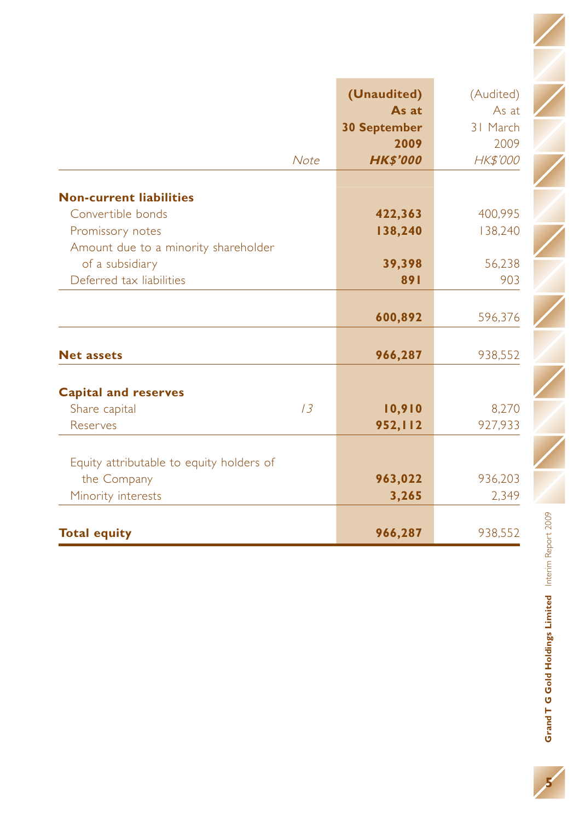|                                          | (Unaudited)         | (Audited) |
|------------------------------------------|---------------------|-----------|
|                                          | As at               | As at     |
|                                          | <b>30 September</b> | 31 March  |
|                                          | 2009                | 2009      |
| Note                                     | <b>HK\$'000</b>     | HK\$'000  |
| <b>Non-current liabilities</b>           |                     |           |
| Convertible bonds                        | 422,363             | 400,995   |
| Promissory notes                         | 138,240             | 138,240   |
| Amount due to a minority shareholder     |                     |           |
| of a subsidiary                          | 39,398              | 56,238    |
| Deferred tax liabilities                 | 891                 | 903       |
|                                          |                     |           |
|                                          | 600,892             | 596,376   |
|                                          |                     |           |
| <b>Net assets</b>                        | 966,287             | 938,552   |
| <b>Capital and reserves</b>              |                     |           |
| 13<br>Share capital                      | 10,910              | 8,270     |
| Reserves                                 | 952,112             | 927,933   |
|                                          |                     |           |
| Equity attributable to equity holders of |                     |           |
| the Company                              | 963,022             | 936,203   |
| Minority interests                       | 3,265               | 2,349     |
|                                          |                     |           |
| <b>Total equity</b>                      | 966,287             | 938,552   |

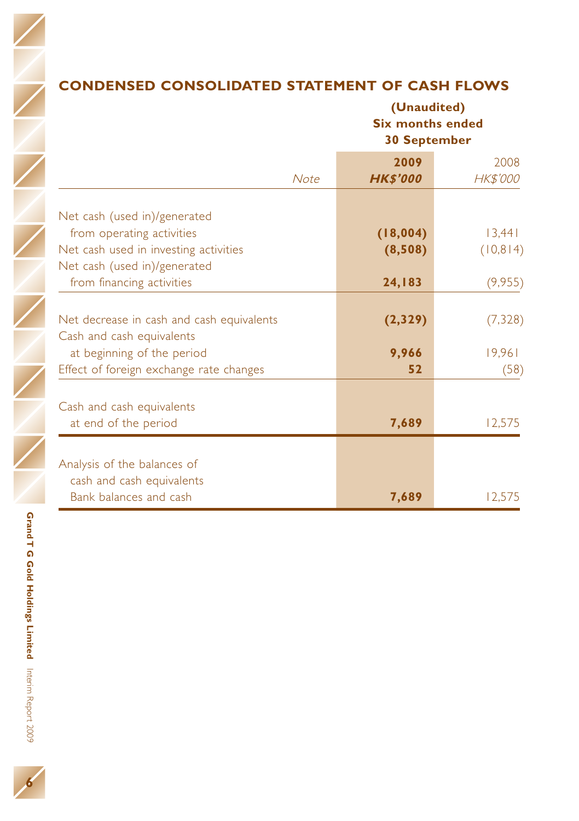**6**

## **CONDENSED CONSOLIDATED STATEMENT OF CASH FLOWS**

**(Unaudited) Six months ended 30 September**

|                                           | <b>Note</b> | 2009<br><b>HK\$'000</b> | 2008<br><b>HK\$'000</b> |
|-------------------------------------------|-------------|-------------------------|-------------------------|
|                                           |             |                         |                         |
| Net cash (used in)/generated              |             |                         |                         |
| from operating activities                 |             | (18,004)                | 13,441                  |
| Net cash used in investing activities     |             | (8,508)                 | (10, 814)               |
| Net cash (used in)/generated              |             |                         |                         |
| from financing activities                 |             | 24,183                  | (9,955)                 |
| Net decrease in cash and cash equivalents |             | (2,329)                 | (7, 328)                |
| Cash and cash equivalents                 |             |                         |                         |
| at beginning of the period                |             | 9,966                   | 19,961                  |
| Effect of foreign exchange rate changes   |             | 52                      | (58)                    |
| Cash and cash equivalents                 |             |                         |                         |
| at end of the period                      |             | 7,689                   | 12,575                  |
|                                           |             |                         |                         |
| Analysis of the balances of               |             |                         |                         |
| cash and cash equivalents                 |             |                         |                         |
| Bank balances and cash                    |             | 7,689                   | 12,575                  |
|                                           |             |                         |                         |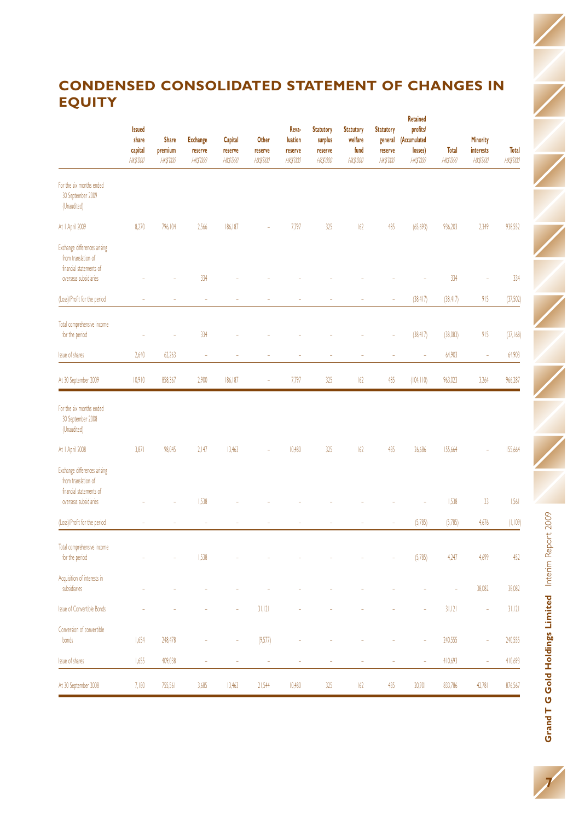## **CONDENSED CONSOLIDATED STATEMENT OF CHANGES IN EQUITY**

|                                                                                | <b>Issued</b><br>share<br>capital<br><b>HK\$'000</b> | <b>Share</b><br>premium<br><b>HK\$'000</b> | <b>Exchange</b><br>reserve<br><b>HK\$'000</b> | Capital<br>reserve<br><b>HK\$'000</b> | Other<br>reserve<br><b>HK\$'000</b> | Reva-<br>luation<br>reserve<br><b>HK\$'000</b> | <b>Statutory</b><br>surplus<br>reserve<br><b>HK\$'000</b> | <b>Statutory</b><br>welfare<br>fund<br><b>HK\$'000</b> | <b>Statutory</b><br>general<br>reserve<br><b>HK\$'000</b> | <b>Retained</b><br>profits<br>(Accumulated<br>losses)<br><b>HK\$'000</b> | <b>Total</b><br><b>HK\$'000</b> | Minority<br>interests<br><b>HK\$'000</b> | Total<br><b>HK\$'000</b> |
|--------------------------------------------------------------------------------|------------------------------------------------------|--------------------------------------------|-----------------------------------------------|---------------------------------------|-------------------------------------|------------------------------------------------|-----------------------------------------------------------|--------------------------------------------------------|-----------------------------------------------------------|--------------------------------------------------------------------------|---------------------------------|------------------------------------------|--------------------------|
| For the six months ended<br>30 September 2009<br>(Unaudited)                   |                                                      |                                            |                                               |                                       |                                     |                                                |                                                           |                                                        |                                                           |                                                                          |                                 |                                          |                          |
| At   April 2009                                                                | 8,270                                                | 796.104                                    | 2566                                          | 186.187                               |                                     | 7,797                                          | 325                                                       | 62                                                     | 485                                                       | (65, 693)                                                                | 936.203                         | 2349                                     | 938.552                  |
| Exchange differences arising<br>from translation of<br>financial statements of |                                                      |                                            |                                               |                                       |                                     |                                                |                                                           |                                                        |                                                           |                                                                          |                                 |                                          |                          |
| overseas subsidiaries                                                          |                                                      |                                            | 334                                           |                                       |                                     |                                                |                                                           |                                                        |                                                           |                                                                          | 334                             |                                          | 334                      |
| (Loss)/Profit for the period                                                   |                                                      |                                            |                                               |                                       |                                     |                                                |                                                           |                                                        |                                                           | (38, 417)                                                                | (38, 417)                       | 915                                      | (37,502)                 |
| Total comprehensive income<br>for the period                                   |                                                      |                                            | 334                                           |                                       |                                     |                                                |                                                           |                                                        |                                                           | (38, 417)                                                                | (38,083)                        | 915                                      | (37, 168)                |
| <b>Issue of shares</b>                                                         | 2,640                                                | 62,263                                     | ×                                             |                                       |                                     |                                                |                                                           |                                                        | ÷                                                         | ×                                                                        | 64,903                          | ×                                        | 64,903                   |
| At 30 September 2009                                                           | 10,910                                               | 858,367                                    | 2,900                                         | 186,187                               | ä,                                  | 7,797                                          | 325                                                       | 162                                                    | 485                                                       | (104, 110)                                                               | 963,023                         | 3,264                                    | 966,287                  |
| For the six months ended<br>30 September 2008<br>(Unaudited)                   |                                                      |                                            |                                               |                                       |                                     |                                                |                                                           |                                                        |                                                           |                                                                          |                                 |                                          |                          |
| At   April 2008                                                                | 3,871                                                | 98,045                                     | 2147                                          | 13,463                                |                                     | 10,480                                         | 325                                                       | 162                                                    | 485                                                       | 26,686                                                                   | 155,664                         |                                          | 155,664                  |
| Exchange differences arising<br>from translation of<br>financial statements of |                                                      |                                            |                                               |                                       |                                     |                                                |                                                           |                                                        |                                                           |                                                                          |                                 |                                          |                          |
| overseas subsidiaries                                                          |                                                      |                                            | 1,538                                         |                                       |                                     |                                                |                                                           |                                                        |                                                           |                                                                          | 1,538                           | $_{23}$                                  | 1.561                    |
| (Loss)/Profit for the period                                                   |                                                      |                                            |                                               |                                       |                                     |                                                |                                                           |                                                        | ÷                                                         | (5,785)                                                                  | (5,785)                         | 4,676                                    | (1, 109)                 |
| Total comprehensive income<br>for the period                                   |                                                      |                                            | 1,538                                         |                                       |                                     |                                                |                                                           |                                                        |                                                           | (5,785)                                                                  | 4,247                           | 4,699                                    | 452                      |
| Acquisition of interests in<br>subsidiaries                                    |                                                      |                                            |                                               |                                       |                                     |                                                |                                                           |                                                        |                                                           |                                                                          |                                 | 38,082                                   | 38,082                   |
| <b>Issue of Convertible Bonds</b>                                              |                                                      |                                            |                                               |                                       | 31,121                              |                                                |                                                           |                                                        |                                                           |                                                                          | 31,121                          |                                          | 31,121                   |
| Conversion of convertible<br>bonds                                             | 1,654                                                | 248.478                                    |                                               |                                       | (9,577)                             |                                                |                                                           |                                                        |                                                           |                                                                          | 240,555                         |                                          | 240.555                  |
| <b>Issue of shares</b>                                                         | 1,655                                                | 409,038                                    | š                                             | ś                                     | ÷                                   | ś                                              | š                                                         |                                                        | ÷                                                         | ×                                                                        | 410,693                         | š                                        | 410,693                  |
| At 30 September 2008                                                           | 7,180                                                | 755,561                                    | 3,685                                         | 13,463                                | 21,544                              | 10,480                                         | 325                                                       | 162                                                    | 485                                                       | 20,901                                                                   | 833,786                         | 42,781                                   | 876,567                  |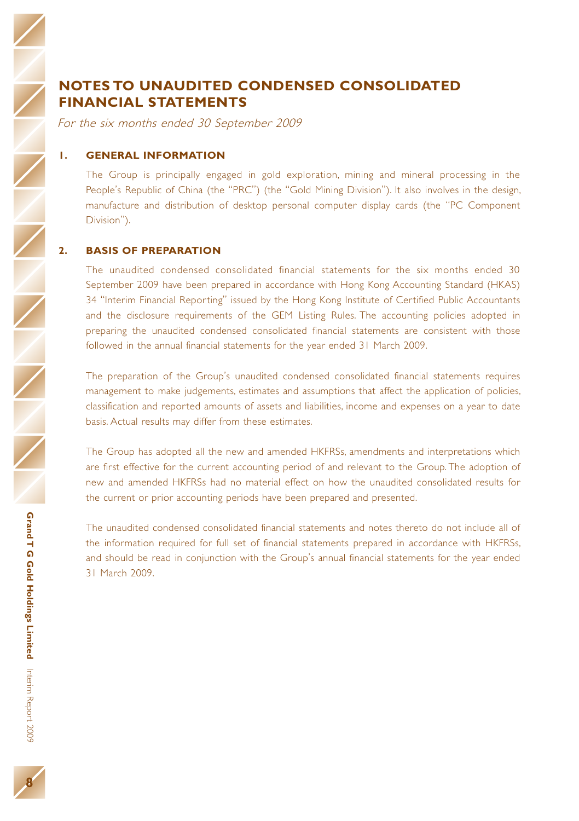## **NOTES TO UNAUDITED CONDENSED CONSOLIDATED FINANCIAL STATEMENTS**

For the six months ended 30 September 2009

#### **1. GENERAL INFORMATION**

The Group is principally engaged in gold exploration, mining and mineral processing in the People's Republic of China (the "PRC") (the "Gold Mining Division"). It also involves in the design, manufacture and distribution of desktop personal computer display cards (the "PC Component Division").

#### **2. BASIS OF PREPARATION**

The unaudited condensed consolidated financial statements for the six months ended 30 September 2009 have been prepared in accordance with Hong Kong Accounting Standard (HKAS) 34 "Interim Financial Reporting" issued by the Hong Kong Institute of Certified Public Accountants and the disclosure requirements of the GEM Listing Rules. The accounting policies adopted in preparing the unaudited condensed consolidated financial statements are consistent with those followed in the annual financial statements for the year ended 31 March 2009.

The preparation of the Group's unaudited condensed consolidated financial statements requires management to make judgements, estimates and assumptions that affect the application of policies, classification and reported amounts of assets and liabilities, income and expenses on a year to date basis. Actual results may differ from these estimates.

The Group has adopted all the new and amended HKFRSs, amendments and interpretations which are first effective for the current accounting period of and relevant to the Group. The adoption of new and amended HKFRSs had no material effect on how the unaudited consolidated results for the current or prior accounting periods have been prepared and presented.

The unaudited condensed consolidated financial statements and notes thereto do not include all of the information required for full set of financial statements prepared in accordance with HKFRSs, and should be read in conjunction with the Group's annual financial statements for the year ended 31 March 2009.

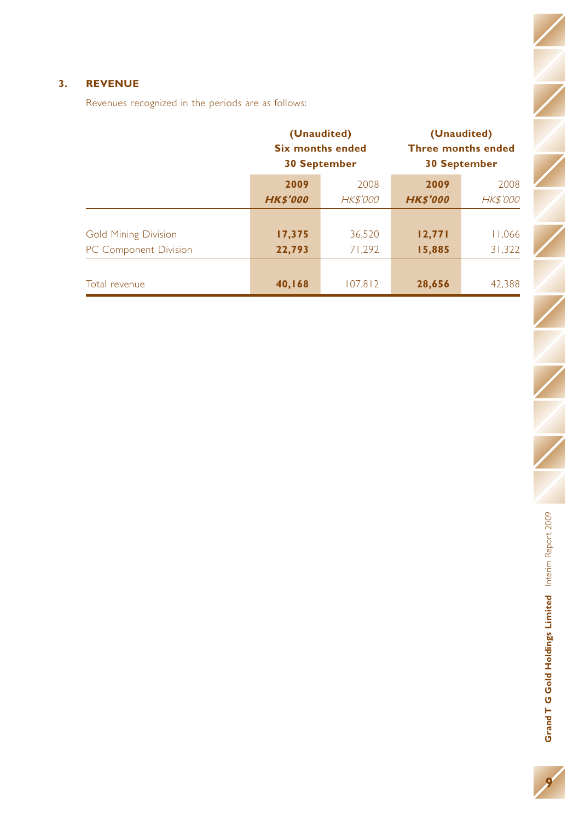### **3. REVENUE**

Revenues recognized in the periods are as follows:

|                             |                 | (Unaudited)<br><b>Six months ended</b><br><b>30 September</b> | (Unaudited)<br><b>Three months ended</b><br><b>30 September</b> |          |  |
|-----------------------------|-----------------|---------------------------------------------------------------|-----------------------------------------------------------------|----------|--|
|                             | 2009            | 2008                                                          | 2009                                                            | 2008     |  |
|                             | <b>HK\$'000</b> | <b>HK\$'000</b>                                               | <b>HK\$'000</b>                                                 | HK\$'000 |  |
| <b>Gold Mining Division</b> | 17,375          | 36.520                                                        | 12,771                                                          | 11,066   |  |
| PC Component Division       | 22,793          | 71.292                                                        | 15,885                                                          | 31,322   |  |
|                             |                 |                                                               |                                                                 |          |  |
| Total revenue               | 40,168          | 107.812                                                       | 28,656                                                          | 42,388   |  |

**Grand T G**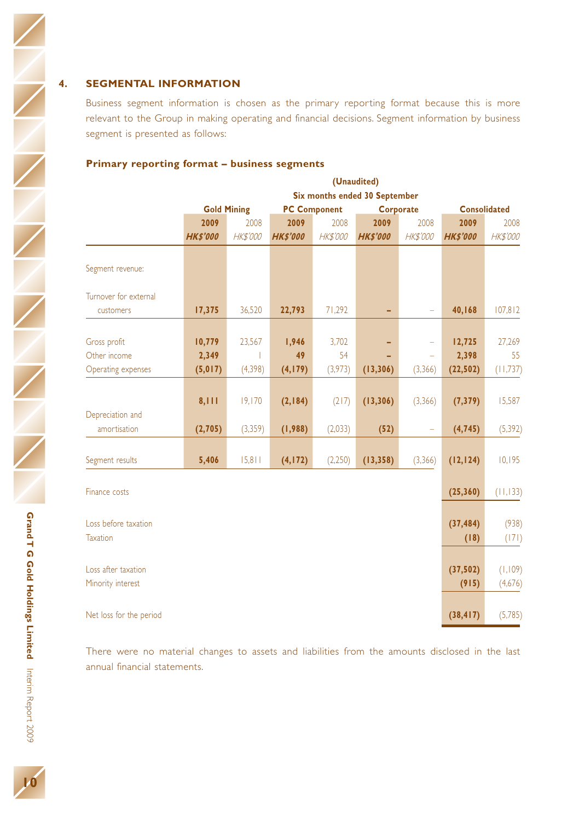#### **4. SEGMENTAL INFORMATION**

Business segment information is chosen as the primary reporting format because this is more relevant to the Group in making operating and financial decisions. Segment information by business segment is presented as follows:

#### **Primary reporting format – business segments**

|                                          |                   |                    |                     |                 | (Unaudited)                   |                 |                     |                     |
|------------------------------------------|-------------------|--------------------|---------------------|-----------------|-------------------------------|-----------------|---------------------|---------------------|
|                                          |                   |                    |                     |                 | Six months ended 30 September |                 |                     |                     |
|                                          |                   | <b>Gold Mining</b> | <b>PC Component</b> |                 | Corporate                     |                 | <b>Consolidated</b> |                     |
|                                          | 2009              | 2008               | 2009                | 2008            | 2009                          | 2008            | 2009                | 2008                |
|                                          | <b>HK\$'000</b>   | <b>HK\$'000</b>    | <b>HKS'000</b>      | <b>HK\$'000</b> | <b>HKS'000</b>                | <b>HK\$'000</b> | <b>HKS'000</b>      | <b>HK\$'000</b>     |
| Segment revenue:                         |                   |                    |                     |                 |                               |                 |                     |                     |
| Turnover for external                    |                   |                    |                     |                 |                               |                 |                     |                     |
| customers                                | 17,375            | 36,520             | 22,793              | 71,292          |                               |                 | 40,168              | 107,812             |
| Gross profit                             | 10,779            | 23,567             | 1,946               | 3,702           |                               |                 | 12,725              | 27,269              |
| Other income<br>Operating expenses       | 2,349<br>(5, 017) | (4, 398)           | 49<br>(4, 179)      | 54<br>(3,973)   | (13, 306)                     | ÷<br>(3, 366)   | 2,398<br>(22, 502)  | 55<br>(11, 737)     |
|                                          | 8,111             | 19,170             | (2, 184)            | (217)           | (13, 306)                     | (3,366)         | (7, 379)            | 15,587              |
| Depreciation and<br>amortisation         | (2,705)           | (3,359)            | (1,988)             | (2,033)         | (52)                          |                 | (4, 745)            | (5, 392)            |
|                                          |                   |                    |                     |                 |                               |                 |                     |                     |
| Segment results                          | 5,406             | 15,811             | (4, 172)            | (2,250)         | (13, 358)                     | (3, 366)        | (12, 124)           | 10,195              |
| Finance costs                            |                   |                    |                     |                 |                               |                 | (25, 360)           | (11, 133)           |
| Loss before taxation<br><b>Taxation</b>  |                   |                    |                     |                 |                               |                 | (37, 484)<br>(18)   | (938)<br>(171)      |
| Loss after taxation<br>Minority interest |                   |                    |                     |                 |                               |                 | (37, 502)<br>(915)  | (1, 109)<br>(4,676) |
| Net loss for the period                  |                   |                    |                     |                 |                               |                 | (38, 417)           | (5,785)             |

There were no material changes to assets and liabilities from the amounts disclosed in the last annual financial statements.

**Holdings**

**Limited**

Interim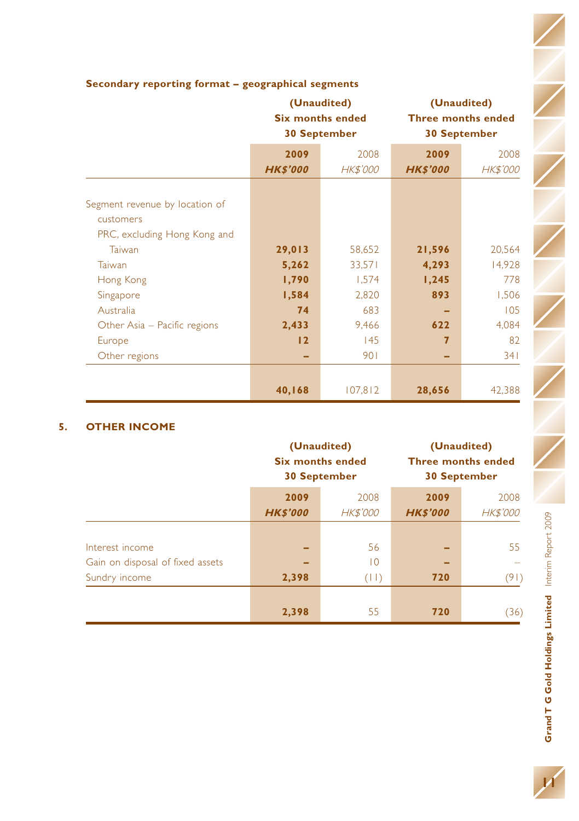|                                |                 | (Unaudited)<br><b>Six months ended</b><br><b>30 September</b> | (Unaudited)<br><b>Three months ended</b><br><b>30 September</b> |                 |  |
|--------------------------------|-----------------|---------------------------------------------------------------|-----------------------------------------------------------------|-----------------|--|
|                                | 2009            | 2008                                                          | 2009                                                            | 2008            |  |
|                                | <b>HK\$'000</b> | <b>HK\$'000</b>                                               | <b>HK\$'000</b>                                                 | <b>HK\$'000</b> |  |
|                                |                 |                                                               |                                                                 |                 |  |
| Segment revenue by location of |                 |                                                               |                                                                 |                 |  |
| customers                      |                 |                                                               |                                                                 |                 |  |
| PRC, excluding Hong Kong and   |                 |                                                               |                                                                 |                 |  |
| Taiwan                         | 29,013          | 58,652                                                        | 21,596                                                          | 20,564          |  |
| Taiwan                         | 5,262           | 33,571                                                        | 4,293                                                           | 14,928          |  |
| Hong Kong                      | 1,790           | 1,574                                                         | 1,245                                                           | 778             |  |
| Singapore                      | 1,584           | 2,820                                                         | 893                                                             | 1,506           |  |
| Australia                      | 74              | 683                                                           |                                                                 | 105             |  |
| Other Asia – Pacific regions   | 2,433           | 9,466                                                         | 622                                                             | 4,084           |  |
| Europe                         | 12              | 145                                                           | 7                                                               | 82              |  |
| Other regions                  |                 | 901                                                           |                                                                 | 341             |  |
|                                |                 |                                                               |                                                                 |                 |  |
|                                | 40,168          | 107,812                                                       | 28,656                                                          | 42,388          |  |

### **Secondary reporting format – geographical segments**

#### **5. OTHER INCOME**

|                                  |                 | (Unaudited)<br><b>Six months ended</b><br><b>30 September</b> | (Unaudited)<br><b>Three months ended</b><br><b>30 September</b> |                 |  |
|----------------------------------|-----------------|---------------------------------------------------------------|-----------------------------------------------------------------|-----------------|--|
|                                  | 2009            | 2008                                                          | 2009                                                            | 2008            |  |
|                                  | <b>HK\$'000</b> | <b>HK\$'000</b>                                               | <b>HK\$'000</b>                                                 | <b>HK\$'000</b> |  |
|                                  |                 |                                                               |                                                                 |                 |  |
| Interest income                  |                 | 56                                                            |                                                                 | 55              |  |
| Gain on disposal of fixed assets |                 | $\overline{0}$                                                |                                                                 |                 |  |
| Sundry income                    | 2,398           | (11)                                                          | 720                                                             | (91)            |  |
|                                  |                 |                                                               |                                                                 |                 |  |
|                                  | 2,398           | 55                                                            | 720                                                             | (36)            |  |

**11**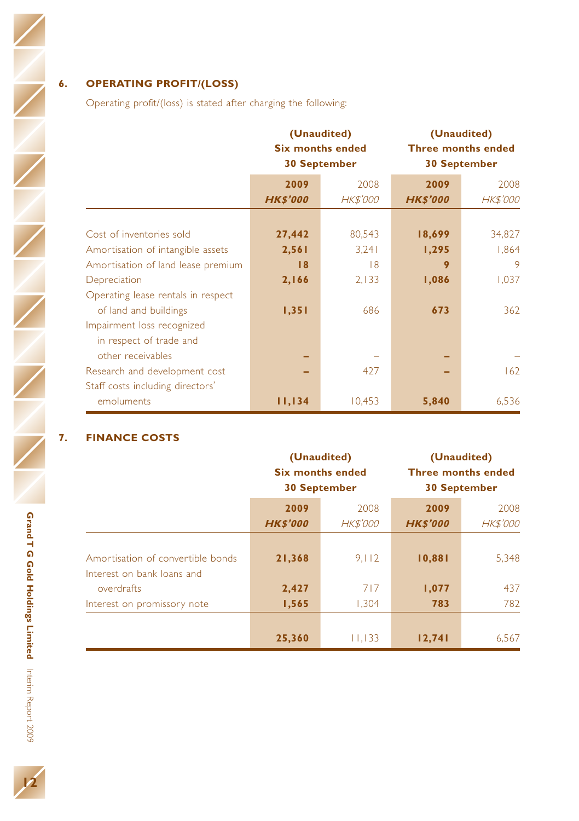### **6. OPERATING PROFIT/(LOSS)**

Operating profit/(loss) is stated after charging the following:

|                                    |                         | (Unaudited)<br><b>Six months ended</b><br><b>30 September</b> | (Unaudited)<br><b>Three months ended</b><br><b>30 September</b> |                         |  |
|------------------------------------|-------------------------|---------------------------------------------------------------|-----------------------------------------------------------------|-------------------------|--|
|                                    | 2009<br><b>HK\$'000</b> | 2008<br><b>HK\$'000</b>                                       | 2009<br><b>HK\$'000</b>                                         | 2008<br><b>HK\$'000</b> |  |
| Cost of inventories sold           | 27,442                  | 80,543                                                        | 18,699                                                          | 34,827                  |  |
| Amortisation of intangible assets  | 2,561                   | 3,241                                                         | 1,295                                                           | 1,864                   |  |
| Amortisation of land lease premium | 18                      | 8                                                             | 9                                                               | 9                       |  |
| Depreciation                       | 2,166                   | 2,133                                                         | 1,086                                                           | 1,037                   |  |
| Operating lease rentals in respect |                         |                                                               |                                                                 |                         |  |
| of land and buildings              | 1,351                   | 686                                                           | 673                                                             | 362                     |  |
| Impairment loss recognized         |                         |                                                               |                                                                 |                         |  |
| in respect of trade and            |                         |                                                               |                                                                 |                         |  |
| other receivables                  |                         |                                                               |                                                                 |                         |  |
| Research and development cost      |                         | 427                                                           |                                                                 | 162                     |  |
| Staff costs including directors'   |                         |                                                               |                                                                 |                         |  |
| emoluments                         | 11,134                  | 10,453                                                        | 5,840                                                           | 6,536                   |  |

### **7. FINANCE COSTS**

|                                                                 |                 | (Unaudited)<br><b>Six months ended</b><br><b>30 September</b> | (Unaudited)<br><b>Three months ended</b><br><b>30 September</b> |                 |  |
|-----------------------------------------------------------------|-----------------|---------------------------------------------------------------|-----------------------------------------------------------------|-----------------|--|
|                                                                 | 2009            | 2008                                                          | 2009                                                            | 2008            |  |
|                                                                 | <b>HK\$'000</b> | <b>HK\$'000</b>                                               | <b>HK\$'000</b>                                                 | <b>HK\$'000</b> |  |
| Amortisation of convertible bonds<br>Interest on bank loans and | 21,368          | 9.112                                                         | 10,881                                                          | 5,348           |  |
| overdrafts                                                      | 2,427           | 717                                                           | 1,077                                                           | 437             |  |
| Interest on promissory note                                     | 1,565           | 1,304                                                         | 783                                                             | 782             |  |
|                                                                 | 25,360          | 11,133                                                        | 12,741                                                          | 6,567           |  |

**Holdings**

**Limited**

Interim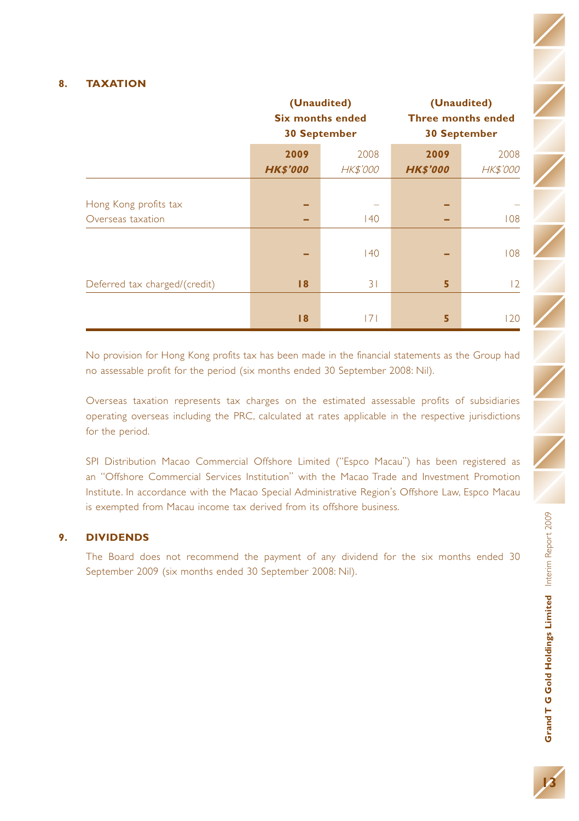#### **8. TAXATION**

|                               | (Unaudited)<br><b>Six months ended</b><br><b>30 September</b> |                 | (Unaudited)<br><b>Three months ended</b><br><b>30 September</b> |                 |
|-------------------------------|---------------------------------------------------------------|-----------------|-----------------------------------------------------------------|-----------------|
|                               | 2009                                                          | 2008            | 2009                                                            | 2008            |
|                               | <b>HK\$'000</b>                                               | <b>HK\$'000</b> | <b>HK\$'000</b>                                                 | <b>HK\$'000</b> |
|                               |                                                               |                 |                                                                 |                 |
| Hong Kong profits tax         | -                                                             |                 | -                                                               |                 |
| Overseas taxation             | -                                                             | 140             | -                                                               | 108             |
|                               |                                                               |                 |                                                                 |                 |
|                               |                                                               | 140             |                                                                 | 108             |
| Deferred tax charged/(credit) | 18                                                            | 31              | 5                                                               | 12              |
|                               |                                                               |                 |                                                                 |                 |
|                               | 18                                                            | 171             | 5                                                               | 120             |

No provision for Hong Kong profits tax has been made in the financial statements as the Group had no assessable profit for the period (six months ended 30 September 2008: Nil).

Overseas taxation represents tax charges on the estimated assessable profits of subsidiaries operating overseas including the PRC, calculated at rates applicable in the respective jurisdictions for the period.

SPI Distribution Macao Commercial Offshore Limited ("Espco Macau") has been registered as an "Offshore Commercial Services Institution" with the Macao Trade and Investment Promotion Institute. In accordance with the Macao Special Administrative Region's Offshore Law, Espco Macau is exempted from Macau income tax derived from its offshore business.

#### **9. DIVIDENDS**

The Board does not recommend the payment of any dividend for the six months ended 30 September 2009 (six months ended 30 September 2008: Nil).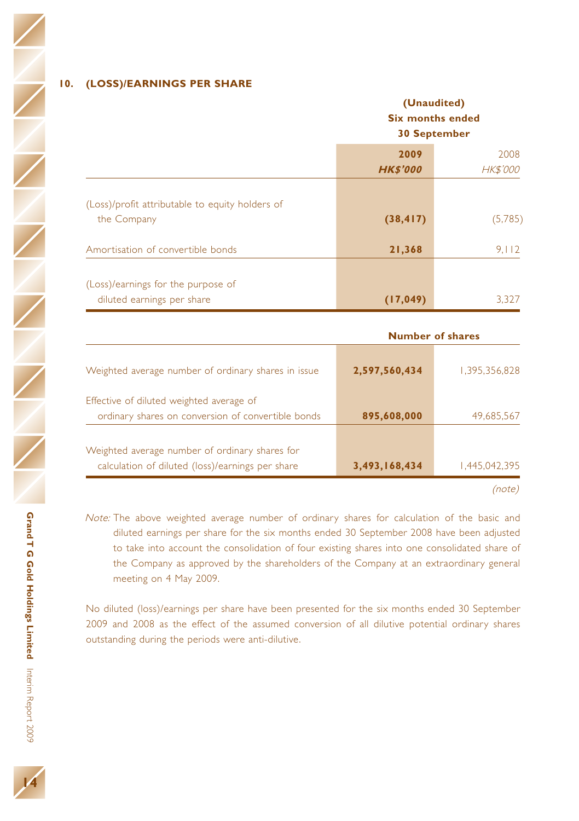#### **10. (LOSS)/EARNINGS PER SHARE**

|                                                                  | (Unaudited)<br><b>Six months ended</b><br><b>30 September</b> |                         |
|------------------------------------------------------------------|---------------------------------------------------------------|-------------------------|
|                                                                  | 2009<br><b>HK\$'000</b>                                       | 2008<br><b>HK\$'000</b> |
| (Loss)/profit attributable to equity holders of<br>the Company   | (38, 417)                                                     | (5,785)                 |
| Amortisation of convertible bonds                                | 21,368                                                        | 9,112                   |
| (Loss)/earnings for the purpose of<br>diluted earnings per share | (17, 049)                                                     | 3,327                   |
|                                                                  |                                                               | <b>Number of shares</b> |
| Weighted average number of ordinary shares in issue              | 2,597,560,434                                                 | 1,395,356,828           |

| Effective of diluted weighted average of<br>ordinary shares on conversion of convertible bonds     | 895,608,000   | 49,685,567    |
|----------------------------------------------------------------------------------------------------|---------------|---------------|
| Weighted average number of ordinary shares for<br>calculation of diluted (loss)/earnings per share | 3,493,168,434 | 1.445.042.395 |
|                                                                                                    |               | (note)        |

Note: The above weighted average number of ordinary shares for calculation of the basic and diluted earnings per share for the six months ended 30 September 2008 have been adjusted to take into account the consolidation of four existing shares into one consolidated share of the Company as approved by the shareholders of the Company at an extraordinary general meeting on 4 May 2009.

No diluted (loss)/earnings per share have been presented for the six months ended 30 September 2009 and 2008 as the effect of the assumed conversion of all dilutive potential ordinary shares outstanding during the periods were anti-dilutive.

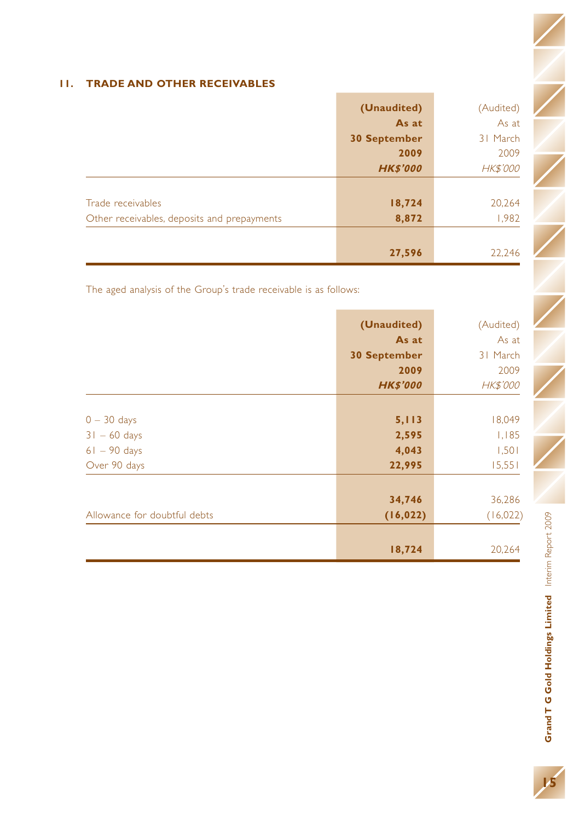### **11. TRADE AND OTHER RECEIVABLES**

|                                             | (Unaudited)         | (Audited)       |
|---------------------------------------------|---------------------|-----------------|
|                                             | As at               | As at           |
|                                             | <b>30 September</b> | 31 March        |
|                                             | 2009                | 2009            |
|                                             | <b>HK\$'000</b>     | <b>HK\$'000</b> |
|                                             |                     |                 |
| Trade receivables                           | 18,724              | 20,264          |
| Other receivables, deposits and prepayments | 8,872               | 1,982           |
|                                             |                     |                 |
|                                             | 27,596              | 22,246          |

The aged analysis of the Group's trade receivable is as follows:

|                     | (Audited)            |
|---------------------|----------------------|
|                     | As at                |
| <b>30 September</b> | 31 March             |
| 2009                | 2009                 |
| <b>HK\$'000</b>     | <b>HK\$'000</b>      |
|                     |                      |
| 5,113               | 18,049               |
| 2,595               | 1,185                |
| 4,043               | 1,501                |
| 22,995              | 15,551               |
|                     |                      |
| 34,746              | 36,286               |
| (16, 022)           | (16,022)             |
|                     |                      |
| 18,724              | 20,264               |
|                     | (Unaudited)<br>As at |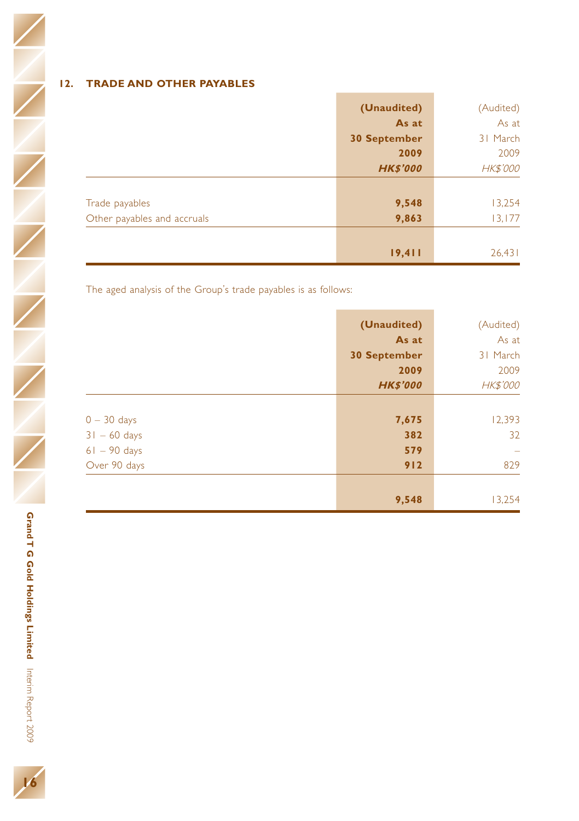### **12. TRADE AND OTHER PAYABLES**

|                             | (Unaudited)         | (Audited)       |
|-----------------------------|---------------------|-----------------|
|                             | As at               | As at           |
|                             | <b>30 September</b> | 31 March        |
|                             | 2009                | 2009            |
|                             | <b>HK\$'000</b>     | <b>HK\$'000</b> |
|                             |                     |                 |
| Trade payables              | 9,548               | 13,254          |
| Other payables and accruals | 9,863               | 13,177          |
|                             |                     |                 |
|                             | 19,411              | 26,431          |

The aged analysis of the Group's trade payables is as follows:

|                | (Unaudited)         | (Audited)        |
|----------------|---------------------|------------------|
|                | As at               | As at            |
|                | <b>30 September</b> | 31 March         |
|                | 2009                | 2009             |
|                | <b>HK\$'000</b>     | <b>HK\$'000</b>  |
|                |                     |                  |
| $0 - 30$ days  | 7,675               | 12,393           |
| $31 - 60$ days | 382                 | 32               |
| $61 - 90$ days | 579                 | $\hspace{0.5cm}$ |
| Over 90 days   | 912                 | 829              |
|                |                     |                  |
|                | 9,548               | 13,254           |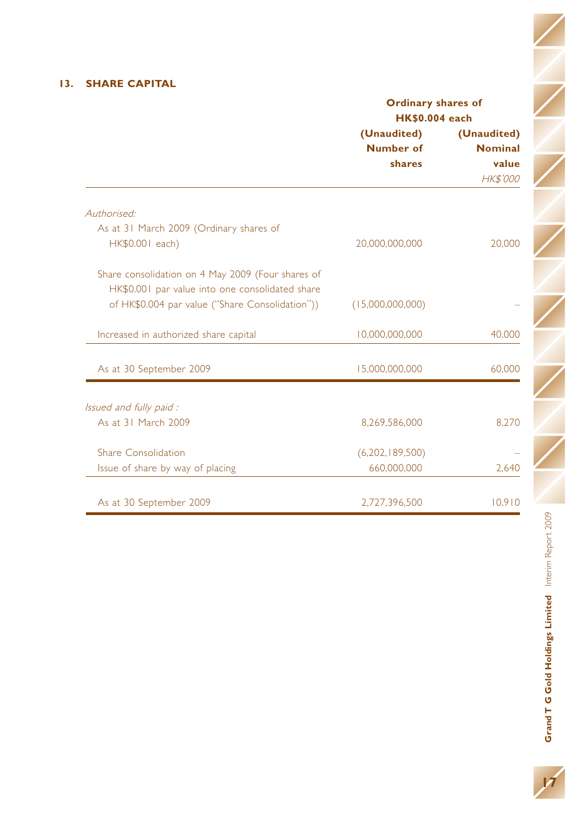### **13. SHARE CAPITAL**

|                                                   | <b>Ordinary shares of</b><br><b>HK\$0.004 each</b> |                 |
|---------------------------------------------------|----------------------------------------------------|-----------------|
|                                                   | (Unaudited)                                        | (Unaudited)     |
|                                                   | Number of                                          | <b>Nominal</b>  |
|                                                   | shares                                             | value           |
|                                                   |                                                    | <b>HK\$'000</b> |
| Authorised:                                       |                                                    |                 |
| As at 31 March 2009 (Ordinary shares of           |                                                    |                 |
| HK\$0.001 each)                                   | 20,000,000,000                                     | 20,000          |
| Share consolidation on 4 May 2009 (Four shares of |                                                    |                 |
| HK\$0.001 par value into one consolidated share   |                                                    |                 |
| of HK\$0.004 par value ("Share Consolidation"))   | (15,000,000,000)                                   |                 |
| Increased in authorized share capital             | 10,000,000,000                                     | 40,000          |
| As at 30 September 2009                           | 15,000,000,000                                     | 60,000          |
| Issued and fully paid:                            |                                                    |                 |
| As at 31 March 2009                               | 8.269.586.000                                      | 8.270           |
|                                                   |                                                    |                 |
| Share Consolidation                               | (6,202,189,500)                                    |                 |
| Issue of share by way of placing                  | 660,000,000                                        | 2,640           |
| As at 30 September 2009                           | 2,727,396,500                                      | 10,910          |

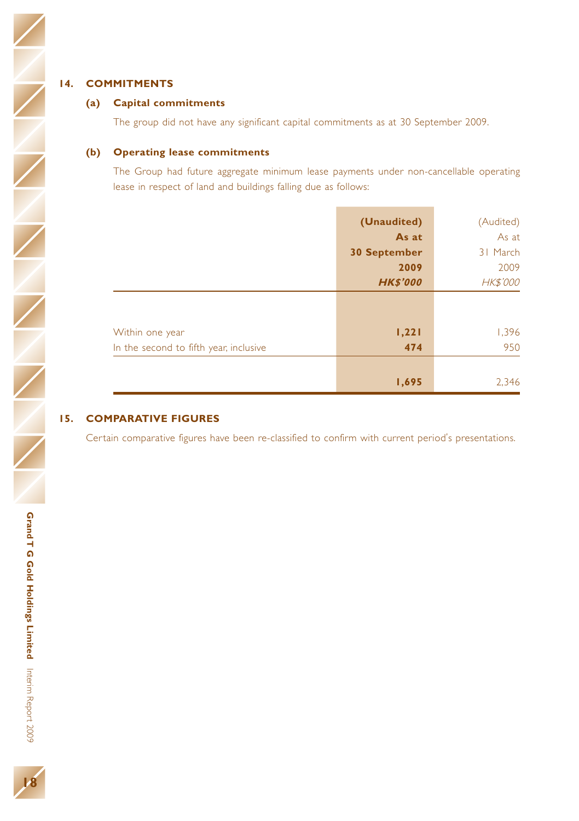$\overline{Z}$ 

#### **(a) Capital commitments**

The group did not have any significant capital commitments as at 30 September 2009.

#### **(b) Operating lease commitments**

The Group had future aggregate minimum lease payments under non-cancellable operating lease in respect of land and buildings falling due as follows:

|                                        | (Unaudited)         | (Audited)       |
|----------------------------------------|---------------------|-----------------|
|                                        | As at               | As at           |
|                                        | <b>30 September</b> | 31 March        |
|                                        | 2009                | 2009            |
|                                        | <b>HK\$'000</b>     | <b>HK\$'000</b> |
|                                        |                     |                 |
| Within one year                        | 1,221               | 1,396           |
| In the second to fifth year, inclusive | 474                 | 950             |
|                                        |                     |                 |
|                                        | 1,695               | 2,346           |

### **15. COMPARATIVE FIGURES**

Certain comparative figures have been re-classified to confirm with current period's presentations.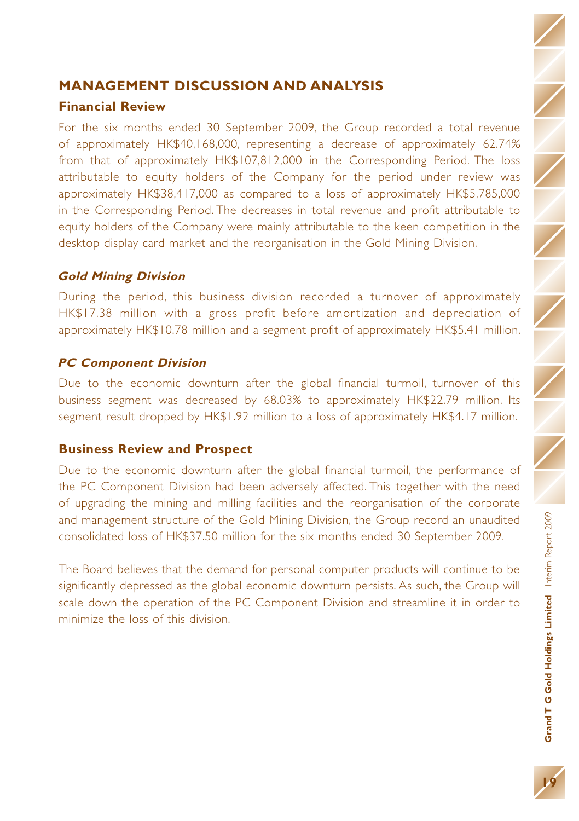## **MANAGEMENT DISCUSSION AND ANALYSIS**

### **Financial Review**

For the six months ended 30 September 2009, the Group recorded a total revenue of approximately HK\$40,168,000, representing a decrease of approximately 62.74% from that of approximately HK\$107,812,000 in the Corresponding Period. The loss attributable to equity holders of the Company for the period under review was approximately HK\$38,417,000 as compared to a loss of approximately HK\$5,785,000 in the Corresponding Period. The decreases in total revenue and profit attributable to equity holders of the Company were mainly attributable to the keen competition in the desktop display card market and the reorganisation in the Gold Mining Division.

### **Gold Mining Division**

During the period, this business division recorded a turnover of approximately HK\$17.38 million with a gross profit before amortization and depreciation of approximately HK\$10.78 million and a segment profit of approximately HK\$5.41 million.

### **PC Component Division**

Due to the economic downturn after the global financial turmoil, turnover of this business segment was decreased by 68.03% to approximately HK\$22.79 million. Its segment result dropped by HK\$1.92 million to a loss of approximately HK\$4.17 million.

### **Business Review and Prospect**

Due to the economic downturn after the global financial turmoil, the performance of the PC Component Division had been adversely affected. This together with the need of upgrading the mining and milling facilities and the reorganisation of the corporate and management structure of the Gold Mining Division, the Group record an unaudited consolidated loss of HK\$37.50 million for the six months ended 30 September 2009.

The Board believes that the demand for personal computer products will continue to be significantly depressed as the global economic downturn persists. As such, the Group will scale down the operation of the PC Component Division and streamline it in order to minimize the loss of this division.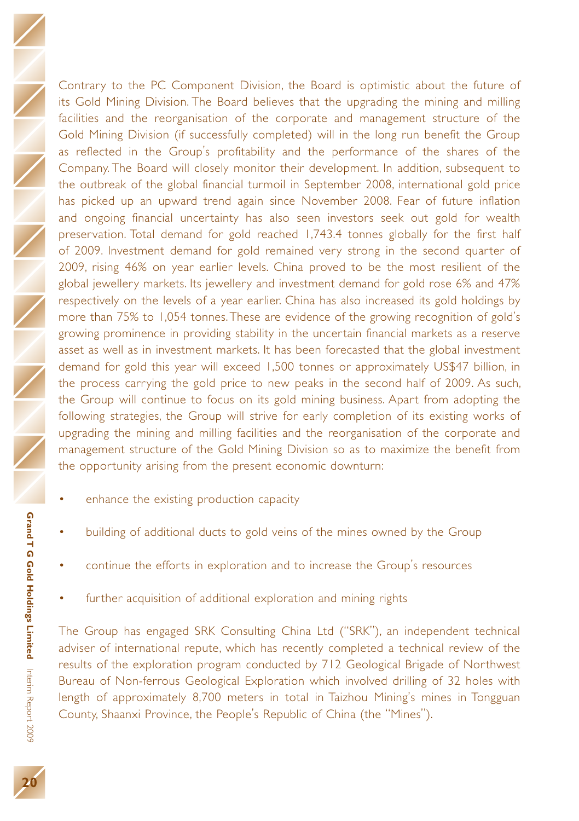Contrary to the PC Component Division, the Board is optimistic about the future of its Gold Mining Division. The Board believes that the upgrading the mining and milling facilities and the reorganisation of the corporate and management structure of the Gold Mining Division (if successfully completed) will in the long run benefit the Group as reflected in the Group's profitability and the performance of the shares of the Company. The Board will closely monitor their development. In addition, subsequent to the outbreak of the global financial turmoil in September 2008, international gold price has picked up an upward trend again since November 2008. Fear of future inflation and ongoing financial uncertainty has also seen investors seek out gold for wealth preservation. Total demand for gold reached 1,743.4 tonnes globally for the first half of 2009. Investment demand for gold remained very strong in the second quarter of 2009, rising 46% on year earlier levels. China proved to be the most resilient of the global jewellery markets. Its jewellery and investment demand for gold rose 6% and 47% respectively on the levels of a year earlier. China has also increased its gold holdings by more than 75% to 1,054 tonnes.These are evidence of the growing recognition of gold's growing prominence in providing stability in the uncertain financial markets as a reserve asset as well as in investment markets. It has been forecasted that the global investment demand for gold this year will exceed 1,500 tonnes or approximately US\$47 billion, in the process carrying the gold price to new peaks in the second half of 2009. As such, the Group will continue to focus on its gold mining business. Apart from adopting the following strategies, the Group will strive for early completion of its existing works of upgrading the mining and milling facilities and the reorganisation of the corporate and management structure of the Gold Mining Division so as to maximize the benefit from the opportunity arising from the present economic downturn:

- enhance the existing production capacity
- building of additional ducts to gold veins of the mines owned by the Group
- continue the efforts in exploration and to increase the Group's resources
- further acquisition of additional exploration and mining rights

The Group has engaged SRK Consulting China Ltd ("SRK"), an independent technical adviser of international repute, which has recently completed a technical review of the results of the exploration program conducted by 712 Geological Brigade of Northwest Bureau of Non-ferrous Geological Exploration which involved drilling of 32 holes with length of approximately 8,700 meters in total in Taizhou Mining's mines in Tongguan County, Shaanxi Province, the People's Republic of China (the "Mines").

Interim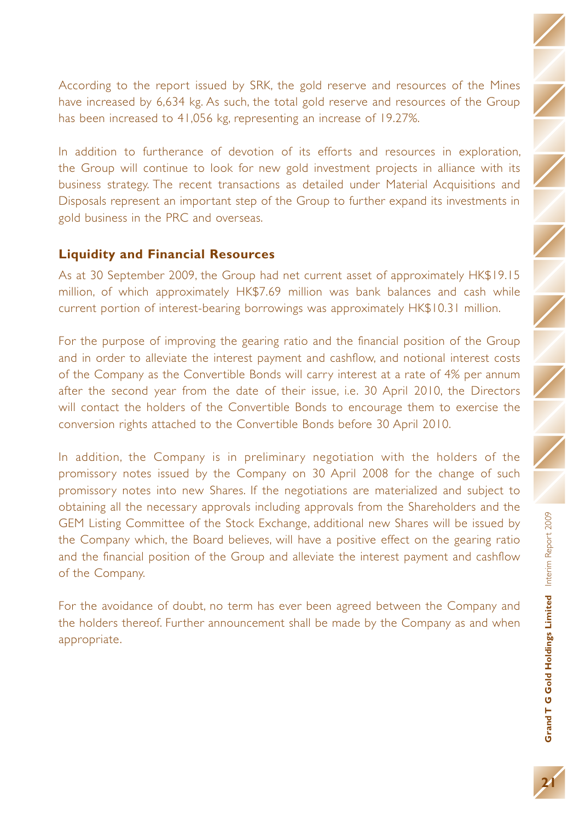According to the report issued by SRK, the gold reserve and resources of the Mines have increased by 6,634 kg. As such, the total gold reserve and resources of the Group has been increased to 41,056 kg, representing an increase of 19.27%.

In addition to furtherance of devotion of its efforts and resources in exploration, the Group will continue to look for new gold investment projects in alliance with its business strategy. The recent transactions as detailed under Material Acquisitions and Disposals represent an important step of the Group to further expand its investments in gold business in the PRC and overseas.

### **Liquidity and Financial Resources**

As at 30 September 2009, the Group had net current asset of approximately HK\$19.15 million, of which approximately HK\$7.69 million was bank balances and cash while current portion of interest-bearing borrowings was approximately HK\$10.31 million.

For the purpose of improving the gearing ratio and the financial position of the Group and in order to alleviate the interest payment and cashflow, and notional interest costs of the Company as the Convertible Bonds will carry interest at a rate of 4% per annum after the second year from the date of their issue, i.e. 30 April 2010, the Directors will contact the holders of the Convertible Bonds to encourage them to exercise the conversion rights attached to the Convertible Bonds before 30 April 2010.

In addition, the Company is in preliminary negotiation with the holders of the promissory notes issued by the Company on 30 April 2008 for the change of such promissory notes into new Shares. If the negotiations are materialized and subject to obtaining all the necessary approvals including approvals from the Shareholders and the GEM Listing Committee of the Stock Exchange, additional new Shares will be issued by the Company which, the Board believes, will have a positive effect on the gearing ratio and the financial position of the Group and alleviate the interest payment and cashflow of the Company.

For the avoidance of doubt, no term has ever been agreed between the Company and the holders thereof. Further announcement shall be made by the Company as and when appropriate.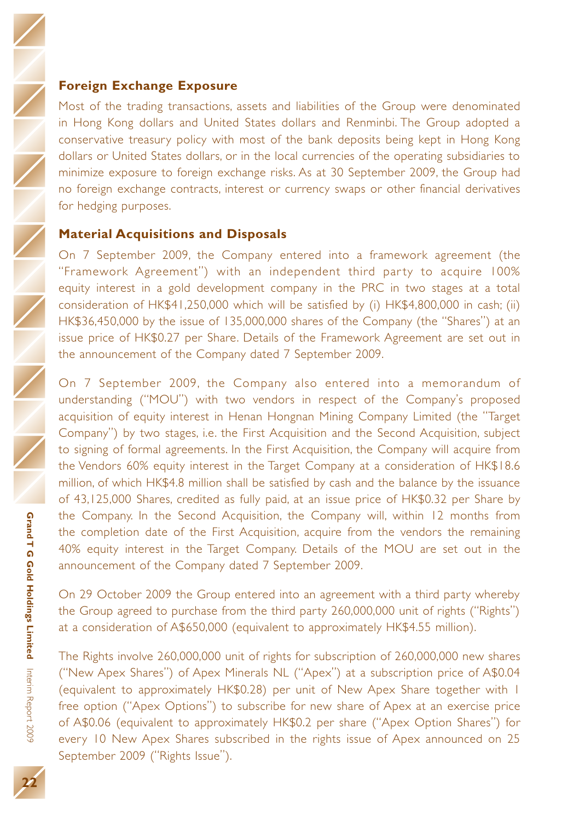### **Foreign Exchange Exposure**

Most of the trading transactions, assets and liabilities of the Group were denominated in Hong Kong dollars and United States dollars and Renminbi. The Group adopted a conservative treasury policy with most of the bank deposits being kept in Hong Kong dollars or United States dollars, or in the local currencies of the operating subsidiaries to minimize exposure to foreign exchange risks. As at 30 September 2009, the Group had no foreign exchange contracts, interest or currency swaps or other financial derivatives for hedging purposes.

#### **Material Acquisitions and Disposals**

On 7 September 2009, the Company entered into a framework agreement (the "Framework Agreement") with an independent third party to acquire 100% equity interest in a gold development company in the PRC in two stages at a total consideration of HK\$41,250,000 which will be satisfied by (i) HK\$4,800,000 in cash; (ii) HK\$36,450,000 by the issue of 135,000,000 shares of the Company (the "Shares") at an issue price of HK\$0.27 per Share. Details of the Framework Agreement are set out in the announcement of the Company dated 7 September 2009.

On 7 September 2009, the Company also entered into a memorandum of understanding ("MOU") with two vendors in respect of the Company's proposed acquisition of equity interest in Henan Hongnan Mining Company Limited (the "Target Company") by two stages, i.e. the First Acquisition and the Second Acquisition, subject to signing of formal agreements. In the First Acquisition, the Company will acquire from the Vendors 60% equity interest in the Target Company at a consideration of HK\$18.6 million, of which HK\$4.8 million shall be satisfied by cash and the balance by the issuance of 43,125,000 Shares, credited as fully paid, at an issue price of HK\$0.32 per Share by the Company. In the Second Acquisition, the Company will, within 12 months from the completion date of the First Acquisition, acquire from the vendors the remaining 40% equity interest in the Target Company. Details of the MOU are set out in the announcement of the Company dated 7 September 2009.

On 29 October 2009 the Group entered into an agreement with a third party whereby the Group agreed to purchase from the third party 260,000,000 unit of rights ("Rights") at a consideration of A\$650,000 (equivalent to approximately HK\$4.55 million).

The Rights involve 260,000,000 unit of rights for subscription of 260,000,000 new shares ("New Apex Shares") of Apex Minerals NL ("Apex") at a subscription price of A\$0.04 (equivalent to approximately HK\$0.28) per unit of New Apex Share together with 1 free option ("Apex Options") to subscribe for new share of Apex at an exercise price of A\$0.06 (equivalent to approximately HK\$0.2 per share ("Apex Option Shares") for every 10 New Apex Shares subscribed in the rights issue of Apex announced on 25 September 2009 ("Rights Issue").

**Limited**

Interim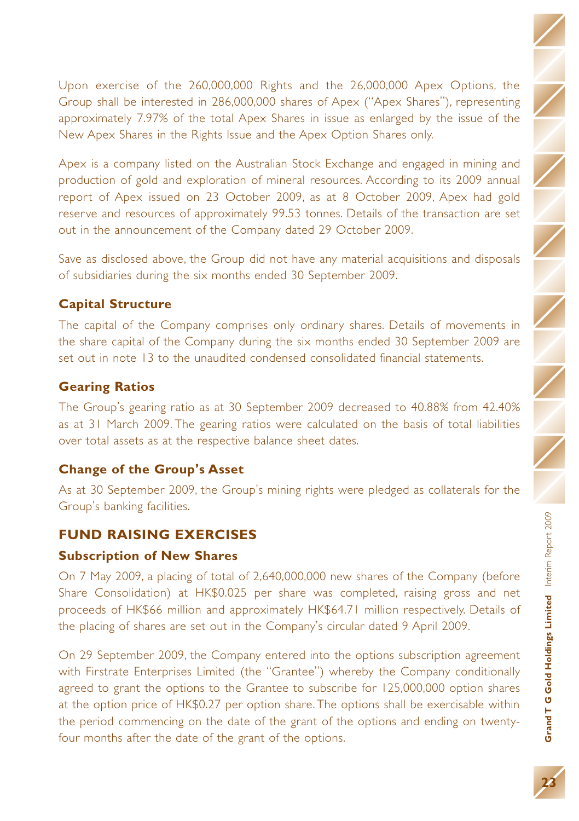Grand T G Gold Holdings Limited Interim Report 2009 **Gold Holdings Limited** Interim Report 2009

Upon exercise of the 260,000,000 Rights and the 26,000,000 Apex Options, the Group shall be interested in 286,000,000 shares of Apex ("Apex Shares"), representing approximately 7.97% of the total Apex Shares in issue as enlarged by the issue of the New Apex Shares in the Rights Issue and the Apex Option Shares only.

Apex is a company listed on the Australian Stock Exchange and engaged in mining and production of gold and exploration of mineral resources. According to its 2009 annual report of Apex issued on 23 October 2009, as at 8 October 2009, Apex had gold reserve and resources of approximately 99.53 tonnes. Details of the transaction are set out in the announcement of the Company dated 29 October 2009.

Save as disclosed above, the Group did not have any material acquisitions and disposals of subsidiaries during the six months ended 30 September 2009.

## **Capital Structure**

The capital of the Company comprises only ordinary shares. Details of movements in the share capital of the Company during the six months ended 30 September 2009 are set out in note 13 to the unaudited condensed consolidated financial statements.

## **Gearing Ratios**

The Group's gearing ratio as at 30 September 2009 decreased to 40.88% from 42.40% as at 31 March 2009. The gearing ratios were calculated on the basis of total liabilities over total assets as at the respective balance sheet dates.

## **Change of the Group's Asset**

As at 30 September 2009, the Group's mining rights were pledged as collaterals for the Group's banking facilities.

## **FUND RAISING EXERCISES**

### **Subscription of New Shares**

On 7 May 2009, a placing of total of 2,640,000,000 new shares of the Company (before Share Consolidation) at HK\$0.025 per share was completed, raising gross and net proceeds of HK\$66 million and approximately HK\$64.71 million respectively. Details of the placing of shares are set out in the Company's circular dated 9 April 2009.

On 29 September 2009, the Company entered into the options subscription agreement with Firstrate Enterprises Limited (the "Grantee") whereby the Company conditionally agreed to grant the options to the Grantee to subscribe for 125,000,000 option shares at the option price of HK\$0.27 per option share.The options shall be exercisable within the period commencing on the date of the grant of the options and ending on twentyfour months after the date of the grant of the options.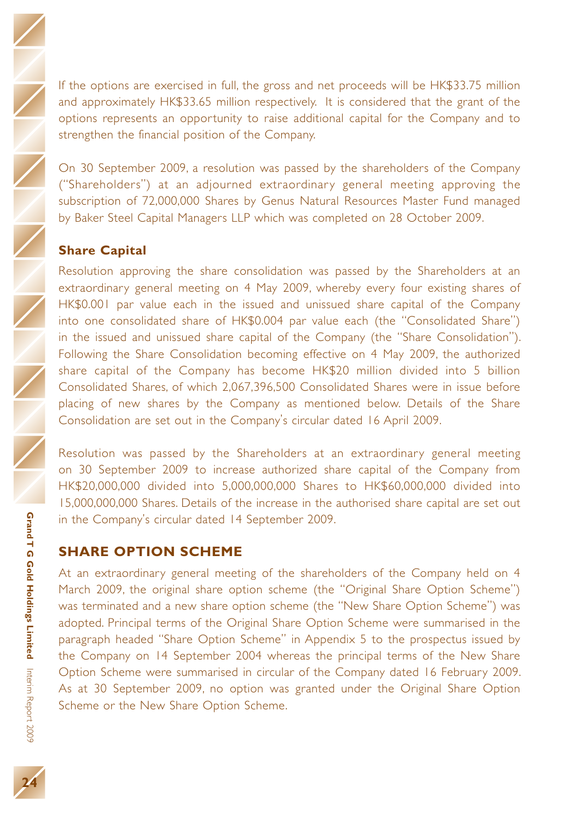**Grand T G Gold Holdings**

If the options are exercised in full, the gross and net proceeds will be HK\$33.75 million and approximately HK\$33.65 million respectively. It is considered that the grant of the options represents an opportunity to raise additional capital for the Company and to strengthen the financial position of the Company.

On 30 September 2009, a resolution was passed by the shareholders of the Company ("Shareholders") at an adjourned extraordinary general meeting approving the subscription of 72,000,000 Shares by Genus Natural Resources Master Fund managed by Baker Steel Capital Managers LLP which was completed on 28 October 2009.

## **Share Capital**

Resolution approving the share consolidation was passed by the Shareholders at an extraordinary general meeting on 4 May 2009, whereby every four existing shares of HK\$0.001 par value each in the issued and unissued share capital of the Company into one consolidated share of HK\$0.004 par value each (the "Consolidated Share") in the issued and unissued share capital of the Company (the "Share Consolidation"). Following the Share Consolidation becoming effective on 4 May 2009, the authorized share capital of the Company has become HK\$20 million divided into 5 billion Consolidated Shares, of which 2,067,396,500 Consolidated Shares were in issue before placing of new shares by the Company as mentioned below. Details of the Share Consolidation are set out in the Company's circular dated 16 April 2009.

Resolution was passed by the Shareholders at an extraordinary general meeting on 30 September 2009 to increase authorized share capital of the Company from HK\$20,000,000 divided into 5,000,000,000 Shares to HK\$60,000,000 divided into 15,000,000,000 Shares. Details of the increase in the authorised share capital are set out in the Company's circular dated 14 September 2009.

## **SHARE OPTION SCHEME**

At an extraordinary general meeting of the shareholders of the Company held on 4 March 2009, the original share option scheme (the "Original Share Option Scheme") was terminated and a new share option scheme (the "New Share Option Scheme") was adopted. Principal terms of the Original Share Option Scheme were summarised in the paragraph headed "Share Option Scheme" in Appendix 5 to the prospectus issued by the Company on 14 September 2004 whereas the principal terms of the New Share Option Scheme were summarised in circular of the Company dated 16 February 2009. As at 30 September 2009, no option was granted under the Original Share Option Scheme or the New Share Option Scheme.

**Limited**

Interim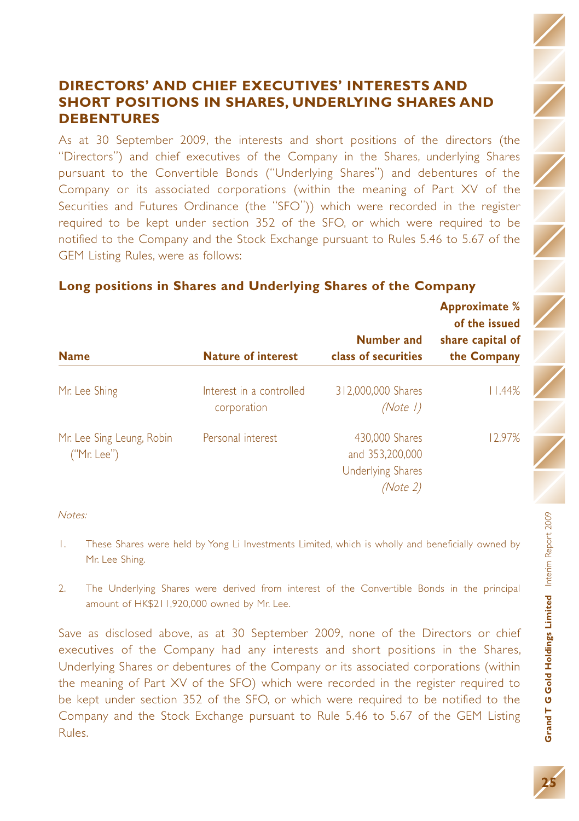## **DIRECTORS' AND CHIEF EXECUTIVES' INTERESTS AND SHORT POSITIONS IN SHARES, UNDERLYING SHARES AND DEBENTURES**

As at 30 September 2009, the interests and short positions of the directors (the "Directors") and chief executives of the Company in the Shares, underlying Shares pursuant to the Convertible Bonds ("Underlying Shares") and debentures of the Company or its associated corporations (within the meaning of Part XV of the Securities and Futures Ordinance (the "SFO")) which were recorded in the register required to be kept under section 352 of the SFO, or which were required to be notified to the Company and the Stock Exchange pursuant to Rules 5.46 to 5.67 of the GEM Listing Rules, were as follows:

|                                          |                                         | <b>Number and</b>                                                         | <b>Approximate %</b><br>of the issued<br>share capital of |
|------------------------------------------|-----------------------------------------|---------------------------------------------------------------------------|-----------------------------------------------------------|
| <b>Name</b>                              | <b>Nature of interest</b>               | class of securities                                                       | the Company                                               |
| Mr. Lee Shing                            | Interest in a controlled<br>corporation | 312,000,000 Shares<br>(Note 1)                                            | l I.44%                                                   |
| Mr. Lee Sing Leung, Robin<br>("Mr. Lee") | Personal interest                       | 430,000 Shares<br>and 353,200,000<br><b>Underlying Shares</b><br>(Note 2) | 12.97%                                                    |

### **Long positions in Shares and Underlying Shares of the Company**

#### Notes:

- 1. These Shares were held by Yong Li Investments Limited, which is wholly and beneficially owned by Mr. Lee Shing.
- 2. The Underlying Shares were derived from interest of the Convertible Bonds in the principal amount of HK\$211,920,000 owned by Mr. Lee.

Save as disclosed above, as at 30 September 2009, none of the Directors or chief executives of the Company had any interests and short positions in the Shares, Underlying Shares or debentures of the Company or its associated corporations (within the meaning of Part XV of the SFO) which were recorded in the register required to be kept under section 352 of the SFO, or which were required to be notified to the Company and the Stock Exchange pursuant to Rule 5.46 to 5.67 of the GEM Listing Rules.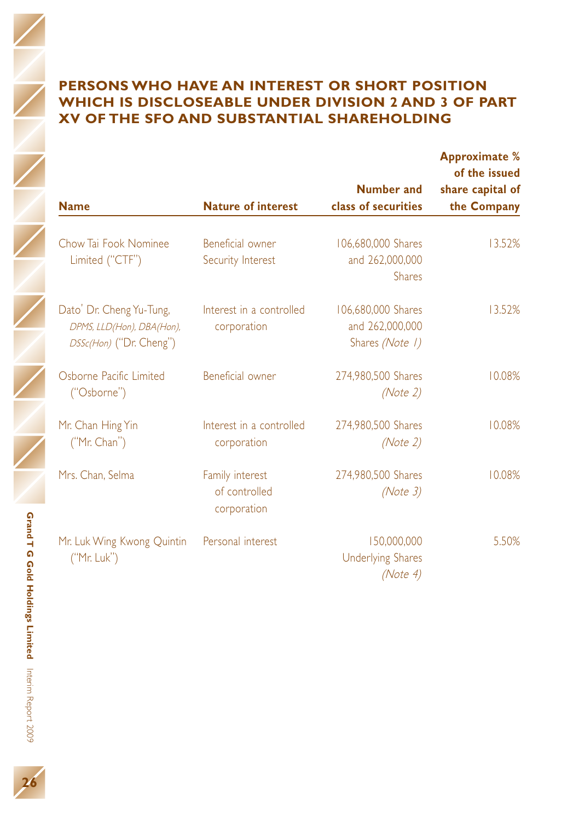| <b>Name</b>                                                                      | <b>Nature of interest</b>                       | Number and<br>class of securities                        | <b>Approximate %</b><br>of the issued<br>share capital of<br>the Company |
|----------------------------------------------------------------------------------|-------------------------------------------------|----------------------------------------------------------|--------------------------------------------------------------------------|
| Chow Tai Fook Nominee<br>Limited ("CTF")                                         | Beneficial owner<br>Security Interest           | 106,680,000 Shares<br>and 262,000,000<br><b>Shares</b>   | 13.52%                                                                   |
| Dato' Dr. Cheng Yu-Tung,<br>DPMS, LLD(Hon), DBA(Hon),<br>DSSc(Hon) ("Dr. Cheng") | Interest in a controlled<br>corporation         | 106.680,000 Shares<br>and 262,000,000<br>Shares (Note 1) | 13.52%                                                                   |
| Oshorne Pacific Limited<br>("Osborne")                                           | <b>Beneficial owner</b>                         | 274,980,500 Shares<br>(Note 2)                           | 10.08%                                                                   |
| Mr. Chan Hing Yin<br>("Mr. Chan")                                                | Interest in a controlled<br>corporation         | 274,980,500 Shares<br>(Note 2)                           | 10.08%                                                                   |
| Mrs. Chan. Selma                                                                 | Family interest<br>of controlled<br>corporation | 274,980,500 Shares<br>(Note 3)                           | 10.08%                                                                   |
| Mr. Luk Wing Kwong Quintin<br>('Mr. Luk")                                        | Personal interest                               | 150,000,000<br><b>Underlying Shares</b><br>(Note 4)      | 5.50%                                                                    |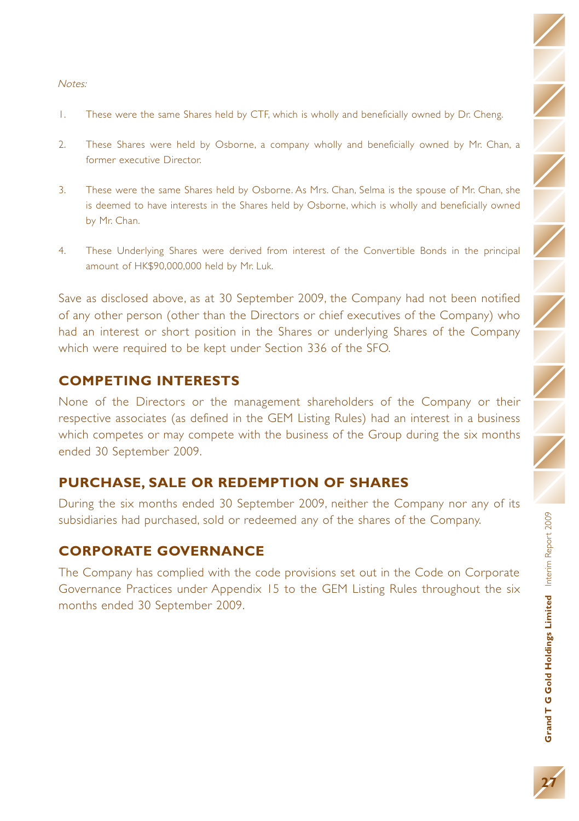#### Notes:

- 1. These were the same Shares held by CTF, which is wholly and beneficially owned by Dr. Cheng.
- 2. These Shares were held by Osborne, a company wholly and beneficially owned by Mr. Chan, a former executive Director.
- 3. These were the same Shares held by Osborne. As Mrs. Chan, Selma is the spouse of Mr. Chan, she is deemed to have interests in the Shares held by Osborne, which is wholly and beneficially owned by Mr. Chan.
- 4. These Underlying Shares were derived from interest of the Convertible Bonds in the principal amount of HK\$90,000,000 held by Mr. Luk.

Save as disclosed above, as at 30 September 2009, the Company had not been notified of any other person (other than the Directors or chief executives of the Company) who had an interest or short position in the Shares or underlying Shares of the Company which were required to be kept under Section 336 of the SFO.

### **COMPETING INTERESTS**

None of the Directors or the management shareholders of the Company or their respective associates (as defined in the GEM Listing Rules) had an interest in a business which competes or may compete with the business of the Group during the six months ended 30 September 2009.

### **PURCHASE, SALE OR REDEMPTION OF SHARES**

During the six months ended 30 September 2009, neither the Company nor any of its subsidiaries had purchased, sold or redeemed any of the shares of the Company.

### **CORPORATE GOVERNANCE**

The Company has complied with the code provisions set out in the Code on Corporate Governance Practices under Appendix 15 to the GEM Listing Rules throughout the six months ended 30 September 2009.